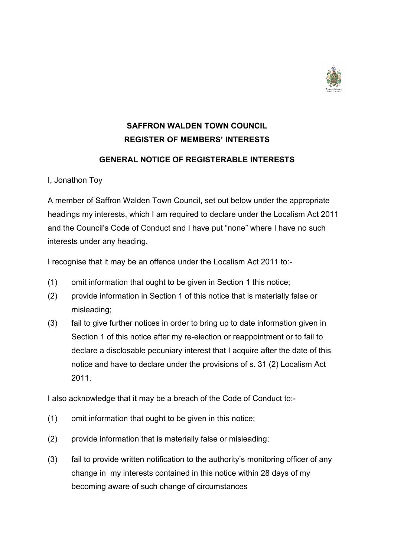

## **SAFFRON WALDEN TOWN COUNCIL REGISTER OF MEMBERS' INTERESTS**

## **GENERAL NOTICE OF REGISTERABLE INTERESTS**

I, Jonathon Toy

A member of Saffron Walden Town Council, set out below under the appropriate headings my interests, which I am required to declare under the Localism Act 2011 and the Council's Code of Conduct and I have put "none" where I have no such interests under any heading.

I recognise that it may be an offence under the Localism Act 2011 to:-

- (1) omit information that ought to be given in Section 1 this notice;
- (2) provide information in Section 1 of this notice that is materially false or misleading;
- (3) fail to give further notices in order to bring up to date information given in Section 1 of this notice after my re-election or reappointment or to fail to declare a disclosable pecuniary interest that I acquire after the date of this notice and have to declare under the provisions of s. 31 (2) Localism Act 2011.

I also acknowledge that it may be a breach of the Code of Conduct to:-

- (1) omit information that ought to be given in this notice;
- (2) provide information that is materially false or misleading;
- (3) fail to provide written notification to the authority's monitoring officer of any change in my interests contained in this notice within 28 days of my becoming aware of such change of circumstances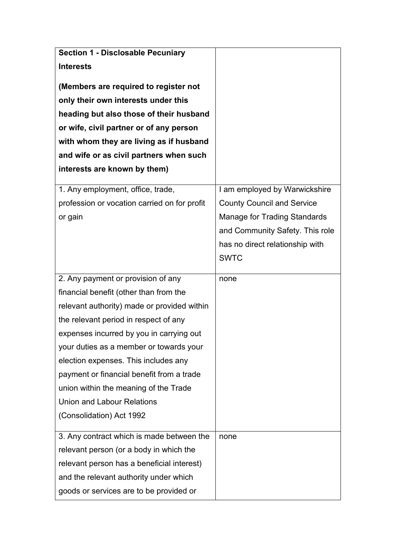| <b>Section 1 - Disclosable Pecuniary</b>     |                                     |
|----------------------------------------------|-------------------------------------|
| <b>Interests</b>                             |                                     |
| (Members are required to register not        |                                     |
| only their own interests under this          |                                     |
| heading but also those of their husband      |                                     |
| or wife, civil partner or of any person      |                                     |
| with whom they are living as if husband      |                                     |
| and wife or as civil partners when such      |                                     |
| interests are known by them)                 |                                     |
| 1. Any employment, office, trade,            | I am employed by Warwickshire       |
| profession or vocation carried on for profit | <b>County Council and Service</b>   |
| or gain                                      | <b>Manage for Trading Standards</b> |
|                                              | and Community Safety. This role     |
|                                              | has no direct relationship with     |
|                                              | <b>SWTC</b>                         |
| 2. Any payment or provision of any           | none                                |
| financial benefit (other than from the       |                                     |
| relevant authority) made or provided within  |                                     |
| the relevant period in respect of any        |                                     |
| expenses incurred by you in carrying out     |                                     |
| your duties as a member or towards your      |                                     |
| election expenses. This includes any         |                                     |
| payment or financial benefit from a trade    |                                     |
| union within the meaning of the Trade        |                                     |
| <b>Union and Labour Relations</b>            |                                     |
| (Consolidation) Act 1992                     |                                     |
| 3. Any contract which is made between the    | none                                |
| relevant person (or a body in which the      |                                     |
| relevant person has a beneficial interest)   |                                     |
| and the relevant authority under which       |                                     |
| goods or services are to be provided or      |                                     |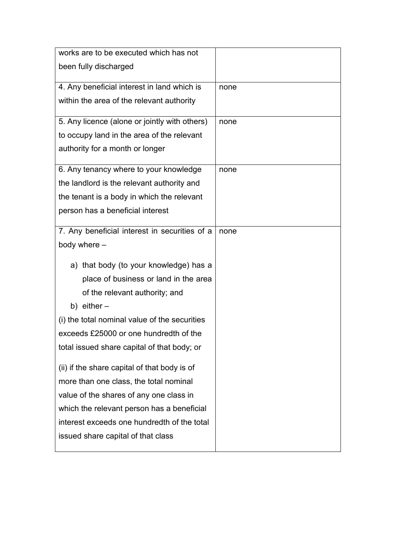| none |
|------|
|      |
|      |
| none |
|      |
|      |
| none |
|      |
|      |
|      |
|      |
| none |
|      |
|      |
|      |
|      |
|      |
|      |
|      |
|      |
|      |
|      |
|      |
|      |
|      |
|      |
|      |
|      |